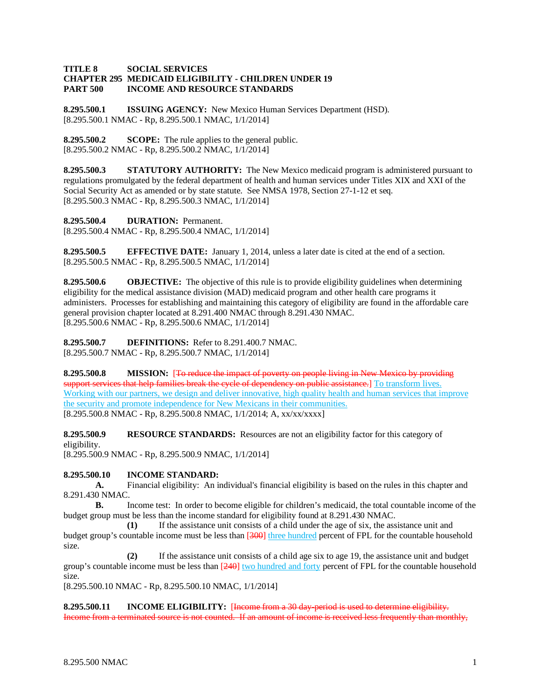### **TITLE 8 SOCIAL SERVICES CHAPTER 295 MEDICAID ELIGIBILITY - CHILDREN UNDER 19 PART 500 INCOME AND RESOURCE STANDARDS**

**8.295.500.1 ISSUING AGENCY:** New Mexico Human Services Department (HSD). [8.295.500.1 NMAC - Rp, 8.295.500.1 NMAC, 1/1/2014]

**8.295.500.2 SCOPE:** The rule applies to the general public. [8.295.500.2 NMAC - Rp, 8.295.500.2 NMAC, 1/1/2014]

**8.295.500.3 STATUTORY AUTHORITY:** The New Mexico medicaid program is administered pursuant to regulations promulgated by the federal department of health and human services under Titles XIX and XXI of the Social Security Act as amended or by state statute. See NMSA 1978, Section 27-1-12 et seq. [8.295.500.3 NMAC - Rp, 8.295.500.3 NMAC, 1/1/2014]

**8.295.500.4 DURATION:** Permanent.

[8.295.500.4 NMAC - Rp, 8.295.500.4 NMAC, 1/1/2014]

**8.295.500.5 EFFECTIVE DATE:** January 1, 2014, unless a later date is cited at the end of a section. [8.295.500.5 NMAC - Rp, 8.295.500.5 NMAC, 1/1/2014]

**8.295.500.6 OBJECTIVE:** The objective of this rule is to provide eligibility guidelines when determining eligibility for the medical assistance division (MAD) medicaid program and other health care programs it administers. Processes for establishing and maintaining this category of eligibility are found in the affordable care general provision chapter located at 8.291.400 NMAC through 8.291.430 NMAC. [8.295.500.6 NMAC - Rp, 8.295.500.6 NMAC, 1/1/2014]

**8.295.500.7 DEFINITIONS:** Refer to 8.291.400.7 NMAC. [8.295.500.7 NMAC - Rp, 8.295.500.7 NMAC, 1/1/2014]

**8.295.500.8 MISSION:** [To reduce the impact of poverty on people living in New Mexico by providing support services that help families break the cycle of dependency on public assistance.] To transform lives. Working with our partners, we design and deliver innovative, high quality health and human services that improve the security and promote independence for New Mexicans in their communities. [8.295.500.8 NMAC - Rp, 8.295.500.8 NMAC, 1/1/2014; A, xx/xx/xxxx]

**8.295.500.9 RESOURCE STANDARDS:** Resources are not an eligibility factor for this category of eligibility.

[8.295.500.9 NMAC - Rp, 8.295.500.9 NMAC, 1/1/2014]

## **8.295.500.10 INCOME STANDARD:**

**A.** Financial eligibility: An individual's financial eligibility is based on the rules in this chapter and 8.291.430 NMAC.

**B.** Income test: In order to become eligible for children's medicaid, the total countable income of the budget group must be less than the income standard for eligibility found at 8.291.430 NMAC.

**(1)** If the assistance unit consists of a child under the age of six, the assistance unit and budget group's countable income must be less than [300] three hundred percent of FPL for the countable household size.

**(2)** If the assistance unit consists of a child age six to age 19, the assistance unit and budget group's countable income must be less than [240] two hundred and forty percent of FPL for the countable household size.

[8.295.500.10 NMAC - Rp, 8.295.500.10 NMAC, 1/1/2014]

**8.295.500.11 INCOME ELIGIBILITY:** [Income from a 30 day-period is used to determine eligibility. Income from a terminated source is not counted. If an amount of income is received less frequently than monthly,